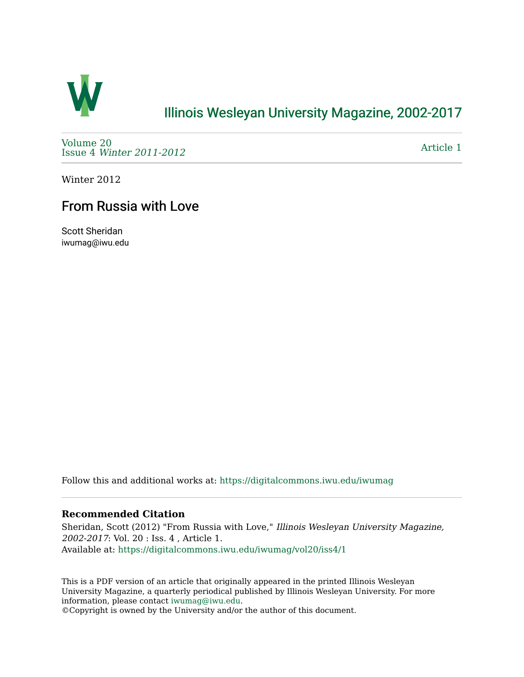

## [Illinois Wesleyan University Magazine, 2002-2017](https://digitalcommons.iwu.edu/iwumag)

[Volume 20](https://digitalcommons.iwu.edu/iwumag/vol20)  Issue 4 [Winter 2011-2012](https://digitalcommons.iwu.edu/iwumag/vol20/iss4)

[Article 1](https://digitalcommons.iwu.edu/iwumag/vol20/iss4/1) 

Winter 2012

# From Russia with Love

Scott Sheridan iwumag@iwu.edu

Follow this and additional works at: [https://digitalcommons.iwu.edu/iwumag](https://digitalcommons.iwu.edu/iwumag?utm_source=digitalcommons.iwu.edu%2Fiwumag%2Fvol20%2Fiss4%2F1&utm_medium=PDF&utm_campaign=PDFCoverPages) 

### **Recommended Citation**

Sheridan, Scott (2012) "From Russia with Love," Illinois Wesleyan University Magazine, 2002-2017: Vol. 20 : Iss. 4 , Article 1. Available at: [https://digitalcommons.iwu.edu/iwumag/vol20/iss4/1](https://digitalcommons.iwu.edu/iwumag/vol20/iss4/1?utm_source=digitalcommons.iwu.edu%2Fiwumag%2Fvol20%2Fiss4%2F1&utm_medium=PDF&utm_campaign=PDFCoverPages)

This is a PDF version of an article that originally appeared in the printed Illinois Wesleyan University Magazine, a quarterly periodical published by Illinois Wesleyan University. For more information, please contact [iwumag@iwu.edu](mailto:iwumag@iwu.edu).

©Copyright is owned by the University and/or the author of this document.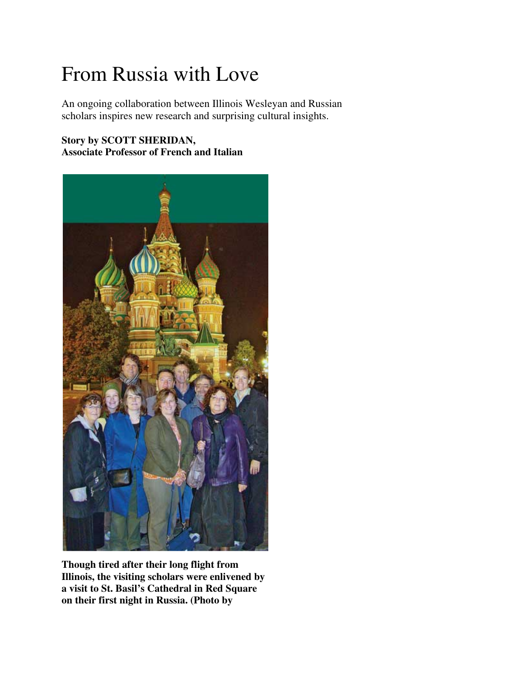# From Russia with Love

An ongoing collaboration between Illinois Wesleyan and Russian scholars inspires new research and surprising cultural insights.

## **Story by SCOTT SHERIDAN, Associate Professor of French and Italian**



**Though tired after their long flight from Illinois, the visiting scholars were enlivened by a visit to St. Basil's Cathedral in Red Square on their first night in Russia. (Photo by**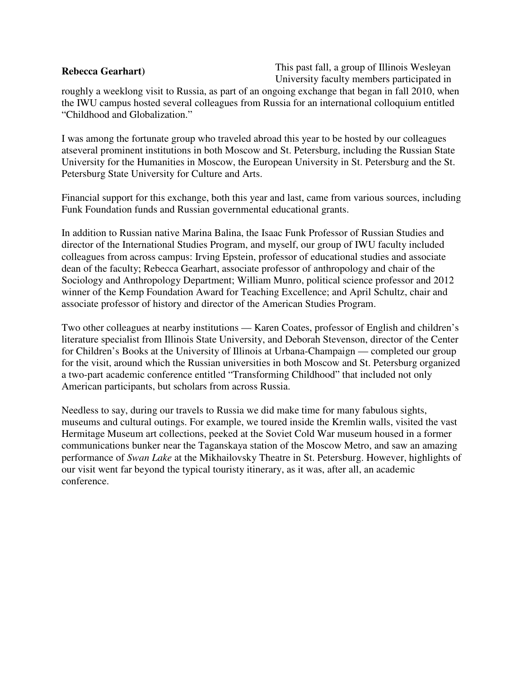#### **Rebecca Gearhart)**

This past fall, a group of Illinois Wesleyan University faculty members participated in

roughly a weeklong visit to Russia, as part of an ongoing exchange that began in fall 2010, when the IWU campus hosted several colleagues from Russia for an international colloquium entitled "Childhood and Globalization."

I was among the fortunate group who traveled abroad this year to be hosted by our colleagues atseveral prominent institutions in both Moscow and St. Petersburg, including the Russian State University for the Humanities in Moscow, the European University in St. Petersburg and the St. Petersburg State University for Culture and Arts.

Financial support for this exchange, both this year and last, came from various sources, including Funk Foundation funds and Russian governmental educational grants.

In addition to Russian native Marina Balina, the Isaac Funk Professor of Russian Studies and director of the International Studies Program, and myself, our group of IWU faculty included colleagues from across campus: Irving Epstein, professor of educational studies and associate dean of the faculty; Rebecca Gearhart, associate professor of anthropology and chair of the Sociology and Anthropology Department; William Munro, political science professor and 2012 winner of the Kemp Foundation Award for Teaching Excellence; and April Schultz, chair and associate professor of history and director of the American Studies Program.

Two other colleagues at nearby institutions — Karen Coates, professor of English and children's literature specialist from Illinois State University, and Deborah Stevenson, director of the Center for Children's Books at the University of Illinois at Urbana-Champaign — completed our group for the visit, around which the Russian universities in both Moscow and St. Petersburg organized a two-part academic conference entitled "Transforming Childhood" that included not only American participants, but scholars from across Russia.

Needless to say, during our travels to Russia we did make time for many fabulous sights, museums and cultural outings. For example, we toured inside the Kremlin walls, visited the vast Hermitage Museum art collections, peeked at the Soviet Cold War museum housed in a former communications bunker near the Taganskaya station of the Moscow Metro, and saw an amazing performance of *Swan Lake* at the Mikhailovsky Theatre in St. Petersburg. However, highlights of our visit went far beyond the typical touristy itinerary, as it was, after all, an academic conference.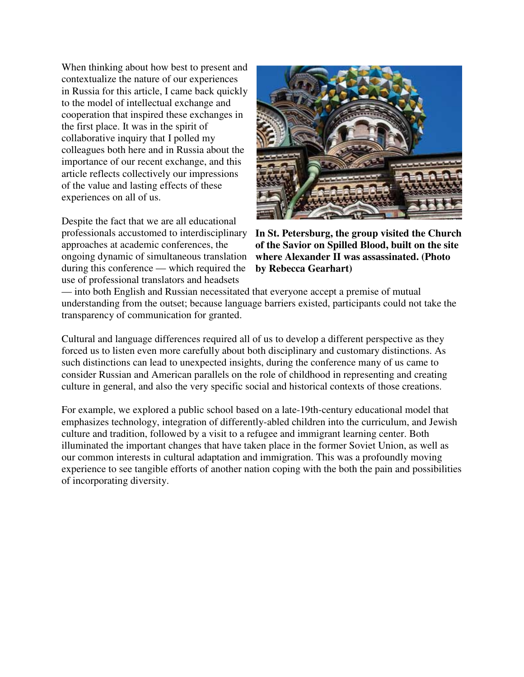When thinking about how best to present and contextualize the nature of our experiences in Russia for this article, I came back quickly to the model of intellectual exchange and cooperation that inspired these exchanges in the first place. It was in the spirit of collaborative inquiry that I polled my colleagues both here and in Russia about the importance of our recent exchange, and this article reflects collectively our impressions of the value and lasting effects of these experiences on all of us.

Despite the fact that we are all educational professionals accustomed to interdisciplinary approaches at academic conferences, the ongoing dynamic of simultaneous translation during this conference — which required the use of professional translators and headsets



**In St. Petersburg, the group visited the Church of the Savior on Spilled Blood, built on the site where Alexander II was assassinated. (Photo by Rebecca Gearhart)**

— into both English and Russian necessitated that everyone accept a premise of mutual understanding from the outset; because language barriers existed, participants could not take the transparency of communication for granted.

Cultural and language differences required all of us to develop a different perspective as they forced us to listen even more carefully about both disciplinary and customary distinctions. As such distinctions can lead to unexpected insights, during the conference many of us came to consider Russian and American parallels on the role of childhood in representing and creating culture in general, and also the very specific social and historical contexts of those creations.

For example, we explored a public school based on a late-19th-century educational model that emphasizes technology, integration of differently-abled children into the curriculum, and Jewish culture and tradition, followed by a visit to a refugee and immigrant learning center. Both illuminated the important changes that have taken place in the former Soviet Union, as well as our common interests in cultural adaptation and immigration. This was a profoundly moving experience to see tangible efforts of another nation coping with the both the pain and possibilities of incorporating diversity.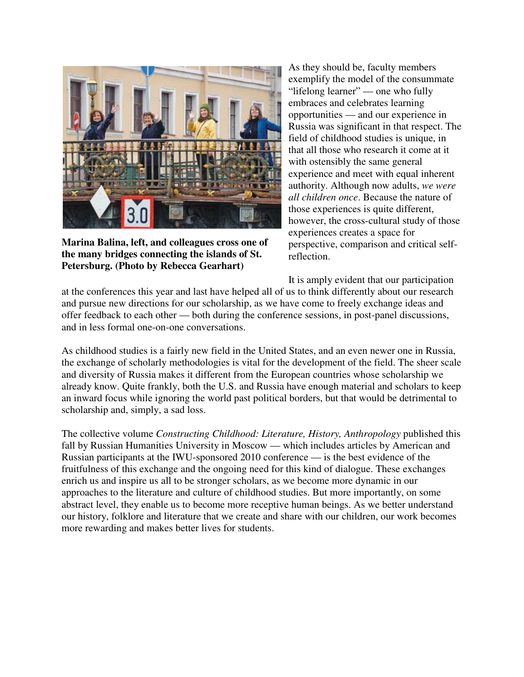

**Marina Balina, left, and colleagues cross one of the many bridges connecting the islands of St. Petersburg. (Photo by Rebecca Gearhart)**

As they should be, faculty members exemplify the model of the consummate "lifelong learner" — one who fully embraces and celebrates learning opportunities — and our experience in Russia was significant in that respect. The field of childhood studies is unique, in that all those who research it come at it with ostensibly the same general experience and meet with equal inherent authority. Although now adults, *we were all children once*. Because the nature of those experiences is quite different, however, the cross-cultural study of those experiences creates a space for perspective, comparison and critical selfreflection.

It is amply evident that our participation

at the conferences this year and last have helped all of us to think differently about our research and pursue new directions for our scholarship, as we have come to freely exchange ideas and offer feedback to each other — both during the conference sessions, in post-panel discussions, and in less formal one-on-one conversations.

As childhood studies is a fairly new field in the United States, and an even newer one in Russia, the exchange of scholarly methodologies is vital for the development of the field. The sheer scale and diversity of Russia makes it different from the European countries whose scholarship we already know. Quite frankly, both the U.S. and Russia have enough material and scholars to keep an inward focus while ignoring the world past political borders, but that would be detrimental to scholarship and, simply, a sad loss.

The collective volume *Constructing Childhood: Literature, History, Anthropology* published this fall by Russian Humanities University in Moscow — which includes articles by American and Russian participants at the IWU-sponsored 2010 conference — is the best evidence of the fruitfulness of this exchange and the ongoing need for this kind of dialogue. These exchanges enrich us and inspire us all to be stronger scholars, as we become more dynamic in our approaches to the literature and culture of childhood studies. But more importantly, on some abstract level, they enable us to become more receptive human beings. As we better understand our history, folklore and literature that we create and share with our children, our work becomes more rewarding and makes better lives for students.